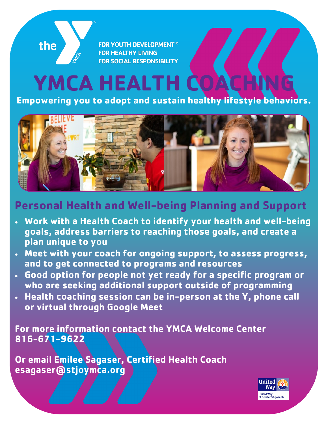**FOR YOUTH DEVELOPMENT® FOR HEALTHY LIVING FOR SOCIAL RESPONSIBILITY** 

the

## **YMCA HEALTH**

**Empowering you to adopt and sustain healthy lifestyle behaviors.** 



## **Personal Health and Well-being Planning and Support**

- **Work with a Health Coach to identify your health and well-being goals, address barriers to reaching those goals, and create a plan unique to you**
- **Meet with your coach for ongoing support, to assess progress, and to get connected to programs and resources**
- **Good option for people not yet ready for a specific program or who are seeking additional support outside of programming**
- **Health coaching session can be in-person at the Y, phone call or virtual through Google Meet**

**For more information contact the YMCA Welcome Center 816-671-9622**

**Or email Emilee Sagaser, Certified Health Coach esagaser@stjoymca.org**